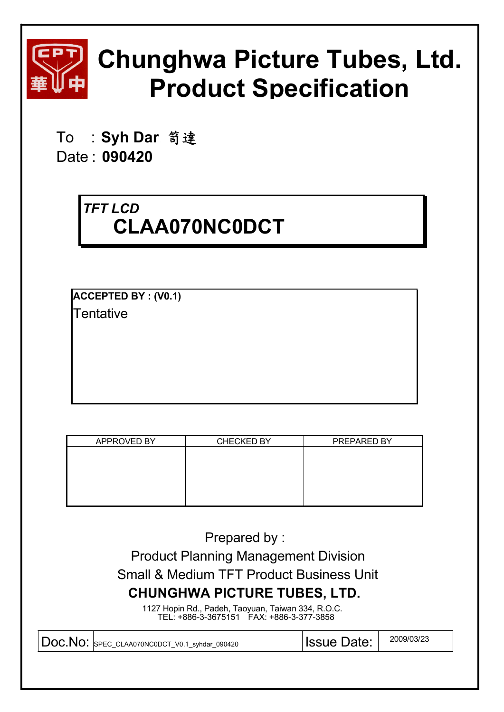

# **Chunghwa Picture Tubes, Ltd. Product Specification**

To : Syh Dar 笥達 Date : **090420**

## *TFT LCD* **CLAA070NC0DCT**

**ACCEPTED BY : (V0.1) Tentative** 

| APPROVED BY | <b>CHECKED BY</b> | PREPARED BY |
|-------------|-------------------|-------------|
|             |                   |             |
|             |                   |             |
|             |                   |             |
|             |                   |             |
|             |                   |             |
|             |                   |             |
|             |                   |             |
|             |                   |             |
|             |                   |             |
|             |                   |             |
|             |                   |             |

Prepared by : Product Planning Management Division Small & Medium TFT Product Business Unit **CHUNGHWA PICTURE TUBES, LTD.** 1127 Hopin Rd., Padeh, Taoyuan, Taiwan 334, R.O.C. TEL: +886-3-3675151 FAX: +886-3-377-3858  $\textsf{Doc}.\textsf{No}: \textsf{SPEC}\textsf{CAA070NCODCT\_V0.1\_syhdar\_090420} \textcolor{white}{c|}{\textsf{ISSue Date:}} \textcolor{white}{|}{\textsf{2009/03/23}}$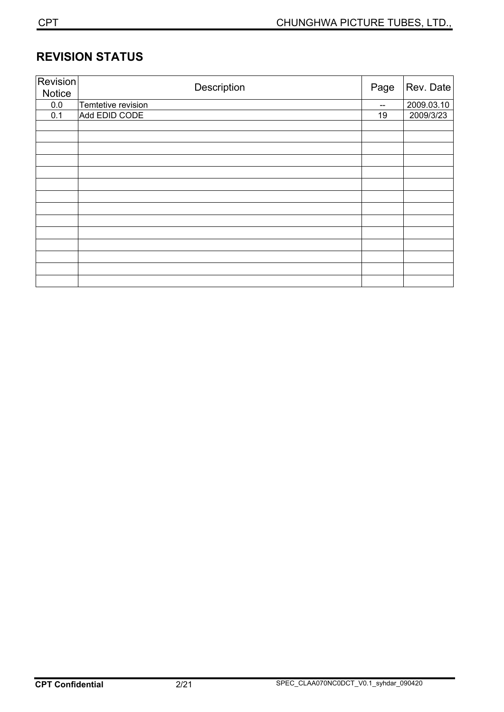## **REVISION STATUS**

| Revision<br>Notice | Description        | Page | Rev. Date  |  |
|--------------------|--------------------|------|------------|--|
| 0.0                | Temtetive revision | --   | 2009.03.10 |  |
| 0.1                | Add EDID CODE      | 19   | 2009/3/23  |  |
|                    |                    |      |            |  |
|                    |                    |      |            |  |
|                    |                    |      |            |  |
|                    |                    |      |            |  |
|                    |                    |      |            |  |
|                    |                    |      |            |  |
|                    |                    |      |            |  |
|                    |                    |      |            |  |
|                    |                    |      |            |  |
|                    |                    |      |            |  |
|                    |                    |      |            |  |
|                    |                    |      |            |  |
|                    |                    |      |            |  |
|                    |                    |      |            |  |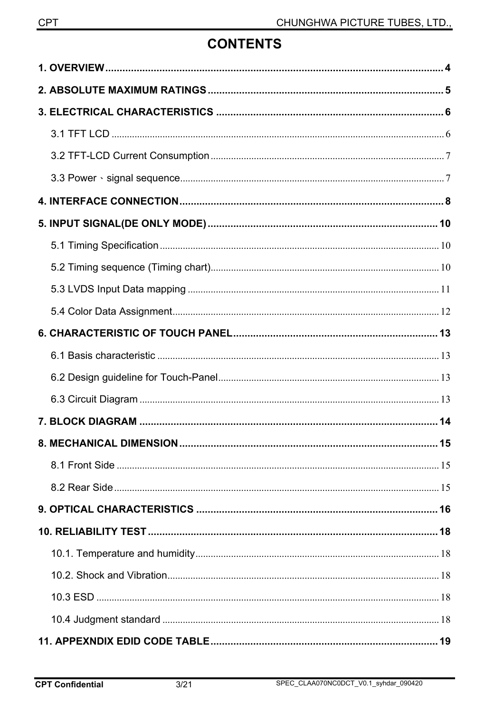## **CONTENTS**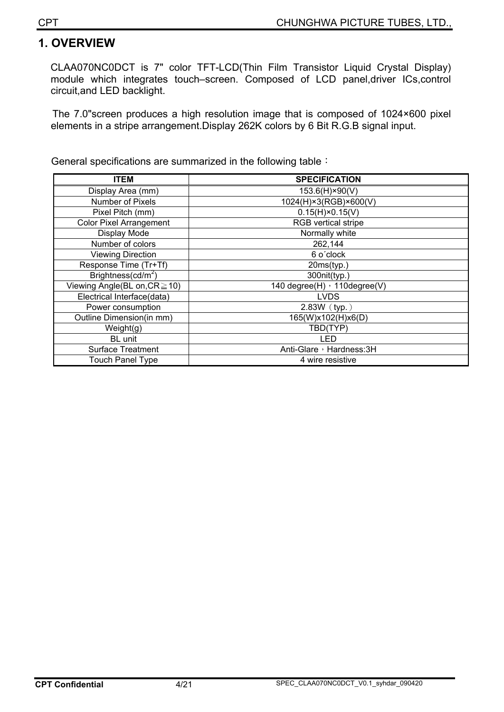## **1. OVERVIEW**

CLAA070NC0DCT is 7" color TFT-LCD(Thin Film Transistor Liquid Crystal Display) module which integrates touch–screen. Composed of LCD panel,driver ICs,control circuit,and LED backlight.

The 7.0"screen produces a high resolution image that is composed of 1024×600 pixel elements in a stripe arrangement.Display 262K colors by 6 Bit R.G.B signal input.

General specifications are summarized in the following table:

| <b>ITEM</b>                    | <b>SPECIFICATION</b>         |  |  |  |  |
|--------------------------------|------------------------------|--|--|--|--|
| Display Area (mm)              | 153.6(H)×90(V)               |  |  |  |  |
| <b>Number of Pixels</b>        | 1024(H)×3(RGB)×600(V)        |  |  |  |  |
| Pixel Pitch (mm)               | $0.15(H) \times 0.15(V)$     |  |  |  |  |
| <b>Color Pixel Arrangement</b> | <b>RGB</b> vertical stripe   |  |  |  |  |
| Display Mode                   | Normally white               |  |  |  |  |
| Number of colors               | 262,144                      |  |  |  |  |
| <b>Viewing Direction</b>       | 6 o'clock                    |  |  |  |  |
| Response Time (Tr+Tf)          | 20ms(typ.)                   |  |  |  |  |
| Brightness( $cd/m2$ )          | 300nit(typ.)                 |  |  |  |  |
| Viewing Angle(BL on, CR ≥ 10)  | 140 degree(H) > 110degree(V) |  |  |  |  |
| Electrical Interface(data)     | <b>LVDS</b>                  |  |  |  |  |
| Power consumption              | $2.83W$ (typ.)               |  |  |  |  |
| Outline Dimension(in mm)       | 165(W)x102(H)x6(D)           |  |  |  |  |
| Weight(g)                      | TBD(TYP)                     |  |  |  |  |
| BL unit                        | LED                          |  |  |  |  |
| Surface Treatment              | Anti-Glare, Hardness: 3H     |  |  |  |  |
| <b>Touch Panel Type</b>        | 4 wire resistive             |  |  |  |  |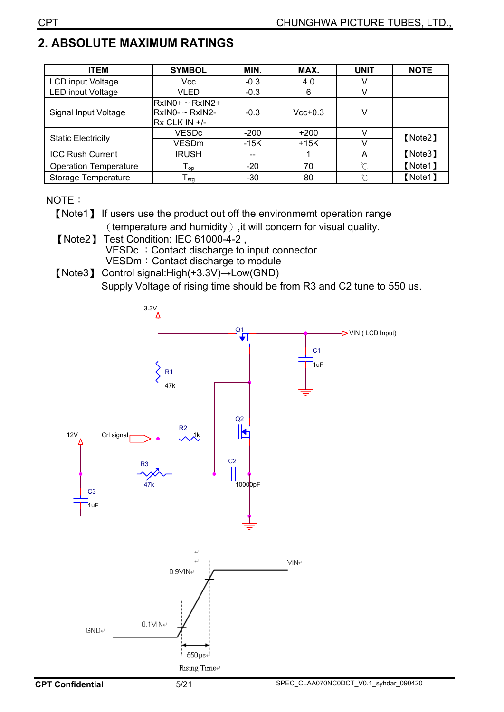## **2. ABSOLUTE MAXIMUM RATINGS**

| <b>ITEM</b>                  | <b>SYMBOL</b>                                       | MIN.   | MAX.      | <b>UNIT</b> | <b>NOTE</b> |
|------------------------------|-----------------------------------------------------|--------|-----------|-------------|-------------|
| LCD input Voltage            | Vcc                                                 | $-0.3$ | 4.0       |             |             |
| <b>LED input Voltage</b>     | VLED                                                | $-0.3$ | 6         |             |             |
| Signal Input Voltage         | RxIN0+ ~ RxIN2+<br>RxIN0- ~ RxIN2-<br>Rx CLK IN +/- | $-0.3$ | $Vcc+0.3$ | V           |             |
|                              | <b>VESDc</b>                                        | $-200$ | $+200$    |             | [Note2]     |
| <b>Static Electricity</b>    | VESDm                                               | $-15K$ | $+15K$    |             |             |
| <b>ICC Rush Current</b>      | <b>IRUSH</b>                                        | $- -$  |           | A           | [Note3]     |
| <b>Operation Temperature</b> | ${\mathsf T}_{\mathsf{op}}$                         | $-20$  | 70        | $^{\circ}C$ | [Note1]     |
| Storage Temperature          | ${\sf T}_{\sf stg}$                                 | $-30$  | 80        | $\sim$      | 【Note1】     |

#### NOTE:

[Note1] If users use the product out off the environmemt operation range (temperature and humidity), it will concern for visual quality.

**[Note2] Test Condition: IEC 61000-4-2,** VESDc: Contact discharge to input connector VESDm: Contact discharge to module

[Note3] Control signal: High(+3.3V) $\rightarrow$  Low(GND) Supply Voltage of rising time should be from R3 and C2 tune to 550 us.

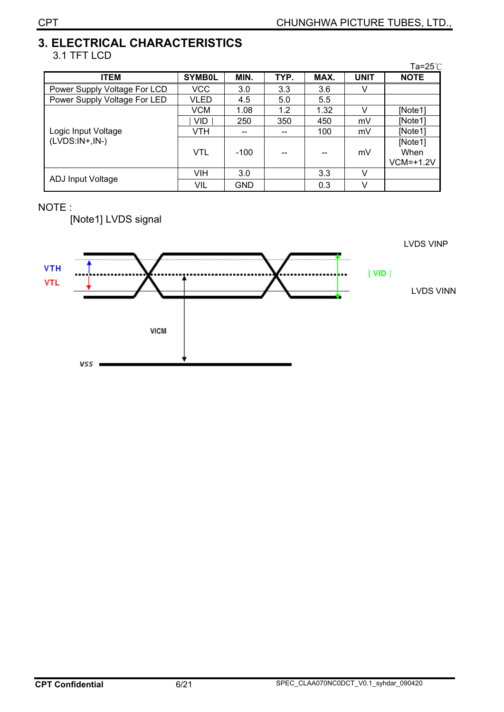#### **3. ELECTRICAL CHARACTERISTICS**  3.1 TFT LCD

|                              |               |            |      |      |             | Ta=25 $^\circ$ C             |
|------------------------------|---------------|------------|------|------|-------------|------------------------------|
| <b>ITEM</b>                  | <b>SYMB0L</b> | MIN.       | TYP. | MAX. | <b>UNIT</b> | <b>NOTE</b>                  |
| Power Supply Voltage For LCD | <b>VCC</b>    | 3.0        | 3.3  | 3.6  | V           |                              |
| Power Supply Voltage For LED | VLED          | 4.5        | 5.0  | 5.5  |             |                              |
|                              | <b>VCM</b>    | 1.08       | 1.2  | 1.32 | v           | [Note1]                      |
|                              | VID.          | 250        | 350  | 450  | mV          | [Note1]                      |
| Logic Input Voltage          | VTH           |            | --   | 100  | mV          | [Note1]                      |
| $(LVDS:IN+,IN-)$             | VTL           | $-100$     |      |      | mV          | [Note1]<br>When<br>VCM=+1.2V |
|                              | VIH           | 3.0        |      | 3.3  | V           |                              |
| ADJ Input Voltage            | VIL           | <b>GND</b> |      | 0.3  | V           |                              |

#### NOTE :

[Note1] LVDS signal

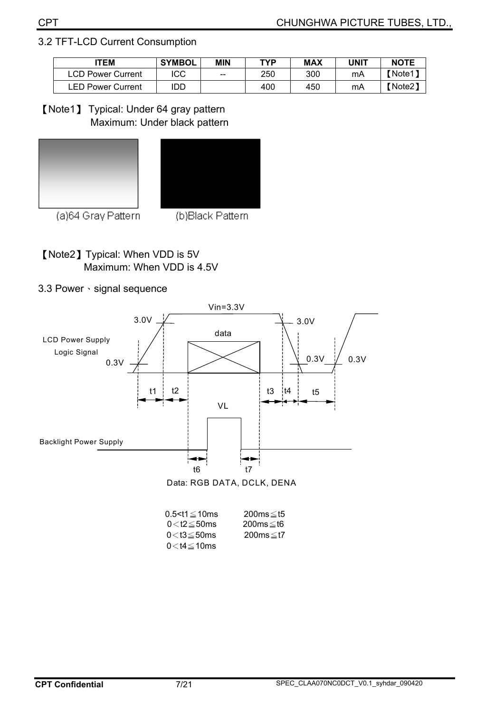#### 3.2 TFT-LCD Current Consumption

| <b>ITEM</b>       | <b>SYMBOL</b> |     | <b>TYP</b> | MAX | UNIT | <b>NOTE</b> |
|-------------------|---------------|-----|------------|-----|------|-------------|
| LCD Power Current | ICC           | $-$ | 250        | 300 | mA   | Note1       |
| LED Power Current | idd           |     | 400        | 450 | mA   | (Note2)     |

[Note1] Typical: Under 64 gray pattern Maximum: Under black pattern





(a)64 Gray Pattern

(b)Black Pattern

**[Note2] Typical: When VDD is 5V** Maximum: When VDD is 4.5V

#### 3.3 Power · signal sequence



| $0.5 < t1 \leq 10$ ms | 200ms≤t5 |
|-----------------------|----------|
| $0<$ t2 $\leq$ 50ms   | 200ms≤t6 |
| $0<$ t $3\leq$ 50ms   | 200ms≤t7 |
| $0<$ t4 $\leq$ 10ms   |          |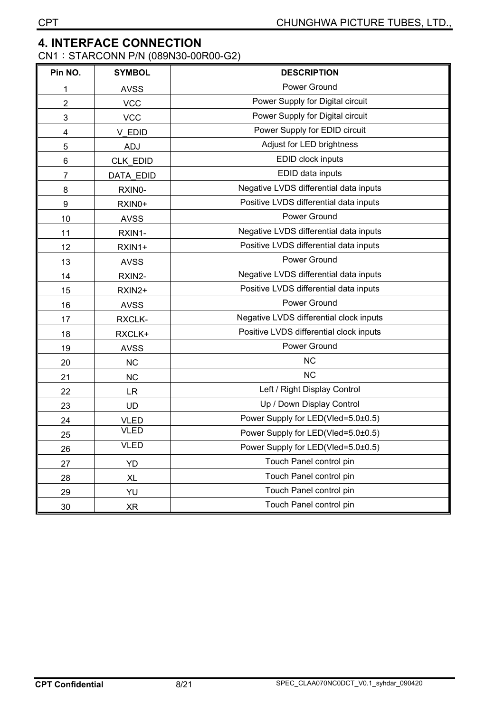#### **4. INTERFACE CONNECTION**

CN1: STARCONN P/N (089N30-00R00-G2)

| Pin NO.        | <b>SYMBOL</b>    | <b>DESCRIPTION</b>                      |
|----------------|------------------|-----------------------------------------|
| 1              | <b>AVSS</b>      | Power Ground                            |
| $\overline{2}$ | <b>VCC</b>       | Power Supply for Digital circuit        |
| 3              | <b>VCC</b>       | Power Supply for Digital circuit        |
| 4              | V EDID           | Power Supply for EDID circuit           |
| 5              | <b>ADJ</b>       | Adjust for LED brightness               |
| 6              | CLK_EDID         | EDID clock inputs                       |
| 7              | <b>DATA EDID</b> | EDID data inputs                        |
| 8              | RXIN0-           | Negative LVDS differential data inputs  |
| 9              | RXIN0+           | Positive LVDS differential data inputs  |
| 10             | <b>AVSS</b>      | Power Ground                            |
| 11             | RXIN1-           | Negative LVDS differential data inputs  |
| 12             | RXIN1+           | Positive LVDS differential data inputs  |
| 13             | <b>AVSS</b>      | Power Ground                            |
| 14             | RXIN2-           | Negative LVDS differential data inputs  |
| 15             | RXIN2+           | Positive LVDS differential data inputs  |
| 16             | <b>AVSS</b>      | Power Ground                            |
| 17             | RXCLK-           | Negative LVDS differential clock inputs |
| 18             | RXCLK+           | Positive LVDS differential clock inputs |
| 19             | <b>AVSS</b>      | Power Ground                            |
| 20             | NC               | <b>NC</b>                               |
| 21             | <b>NC</b>        | <b>NC</b>                               |
| 22             | <b>LR</b>        | Left / Right Display Control            |
| 23             | <b>UD</b>        | Up / Down Display Control               |
| 24             | <b>VLED</b>      | Power Supply for LED(Vled=5.0±0.5)      |
| 25             | <b>VLED</b>      | Power Supply for LED(Vled=5.0±0.5)      |
| 26             | <b>VLED</b>      | Power Supply for LED(Vled=5.0±0.5)      |
| 27             | YD               | Touch Panel control pin                 |
| 28             | XL               | Touch Panel control pin                 |
| 29             | YU               | Touch Panel control pin                 |
| $30\,$         | <b>XR</b>        | Touch Panel control pin                 |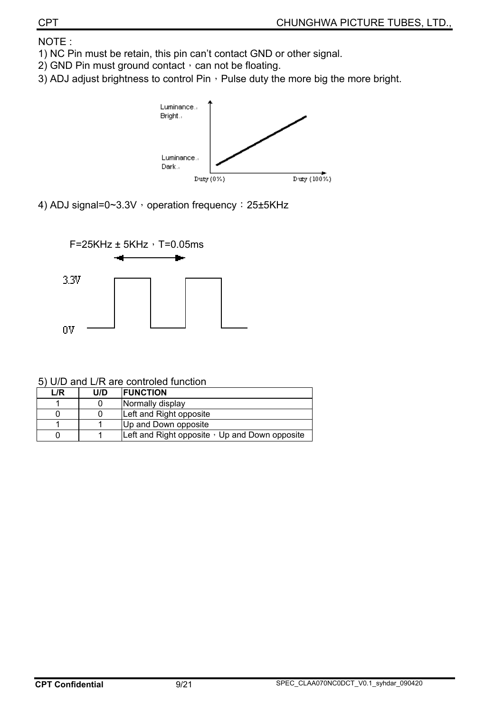NOTE :

- 1) NC Pin must be retain, this pin can't contact GND or other signal.
- 2) GND Pin must ground contact  $\cdot$  can not be floating.
- 3) ADJ adjust brightness to control Pin, Pulse duty the more big the more bright.



4) ADJ signal=0~3.3V , operation frequency: 25±5KHz



5) U/D and L/R are controled function

| L/R | U/D | <b>IFUNCTION</b>                                     |
|-----|-----|------------------------------------------------------|
|     |     | Normally display                                     |
|     |     | Left and Right opposite                              |
|     |     | Up and Down opposite                                 |
|     |     | Left and Right opposite $\cdot$ Up and Down opposite |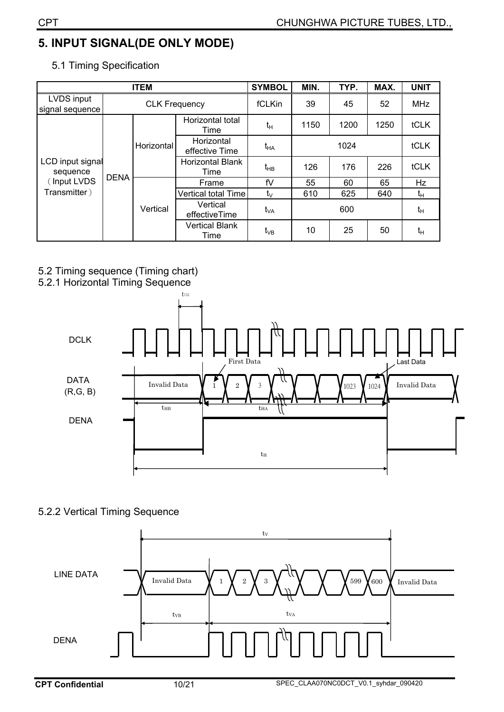## **5. INPUT SIGNAL(DE ONLY MODE)**

|                               |             | <b>ITEM</b>          |                                 | <b>SYMBOL</b>   | MIN.           | TYP. | MAX.       | <b>UNIT</b>    |
|-------------------------------|-------------|----------------------|---------------------------------|-----------------|----------------|------|------------|----------------|
| LVDS input<br>signal sequence |             | <b>CLK Frequency</b> |                                 | fCLKin          | 45<br>39<br>52 |      | <b>MHz</b> |                |
| LCD input signal<br>sequence  | <b>DENA</b> |                      | Horizontal total<br>Time        | $t_H$           | 1150           | 1200 | 1250       | tCLK           |
|                               |             | Horizontal           | Horizontal<br>effective Time    | $t_{HA}$        |                |      | tCLK       |                |
|                               |             |                      | <b>Horizontal Blank</b><br>Time | $t_{HB}$        | 126            | 176  | 226        | tCLK           |
| (Input LVDS                   |             |                      | Frame                           | fV              | 55             | 60   | 65         | Hz             |
| Transmitter)                  |             |                      | Vertical total Time             | $t_{\vee}$      | 610            | 625  | 640        | t <sub>Η</sub> |
|                               |             | Vertical             | Vertical<br>effectiveTime       | t <sub>VA</sub> |                | 600  |            | $t_H$          |
|                               |             |                      | <b>Vertical Blank</b><br>Time   | t <sub>∨B</sub> | 10<br>25       |      | 50         | $t_H$          |

5.1 Timing Specification

#### 5.2 Timing sequence (Timing chart)



#### 5.2.2 Vertical Timing Sequence

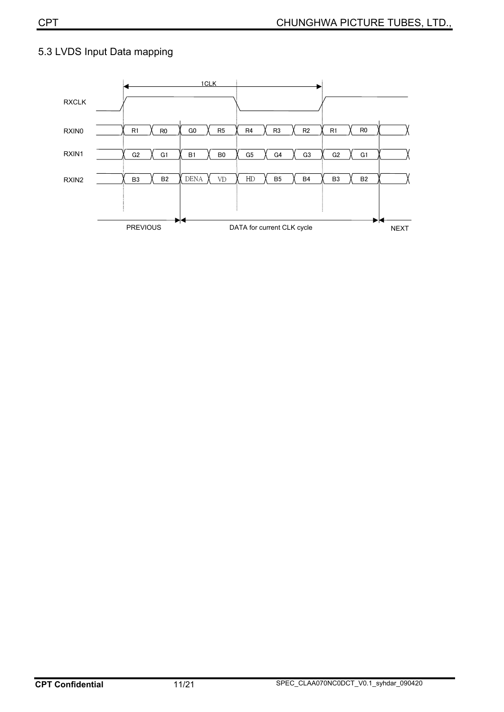

#### 5.3 LVDS Input Data mapping

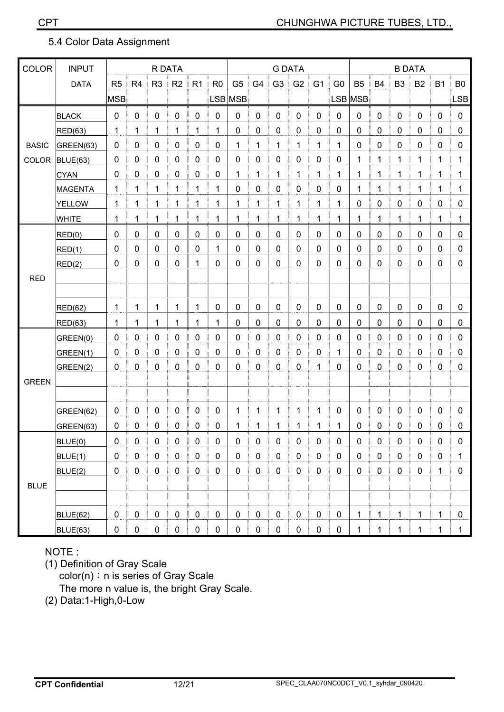#### 5.4 Color Data Assignment

| <b>COLOR</b> | <b>INPUT</b>    | R DATA           |                |                |             | <b>G DATA</b>  |                |                  |                |                |                | <b>B DATA</b>  |                |              |             |                |             |             |                |
|--------------|-----------------|------------------|----------------|----------------|-------------|----------------|----------------|------------------|----------------|----------------|----------------|----------------|----------------|--------------|-------------|----------------|-------------|-------------|----------------|
|              | <b>DATA</b>     | R <sub>5</sub>   | R <sub>4</sub> | R <sub>3</sub> | R2          | R <sub>1</sub> | R <sub>0</sub> | G <sub>5</sub>   | G <sub>4</sub> | G <sub>3</sub> | G <sub>2</sub> | G <sub>1</sub> | G <sub>0</sub> | <b>B5</b>    | <b>B4</b>   | B <sub>3</sub> | <b>B2</b>   | <b>B1</b>   | B <sub>0</sub> |
|              |                 | <b>MSB</b>       |                |                |             |                |                | LSB MSB          |                |                |                |                |                | LSB MSB      |             |                |             |             | <b>LSB</b>     |
|              | <b>BLACK</b>    | $\pmb{0}$        | $\mathbf 0$    | $\mathbf 0$    | $\mathbf 0$ | $\mathbf 0$    | $\mathbf 0$    | $\mathbf 0$      | $\mathbf 0$    | $\mathbf 0$    | $\mathbf 0$    | $\mathbf 0$    | $\mathbf 0$    | $\mathbf 0$  | $\mathbf 0$ | $\mathbf 0$    | $\mathbf 0$ | $\mathbf 0$ | $\mathbf 0$    |
|              | RED(63)         | 1                | 1              | 1              | 1           | 1              | 1              | $\mathbf 0$      | 0              | 0              | $\pmb{0}$      | 0              | 0              | $\mathbf 0$  | $\mathbf 0$ | 0              | $\mathbf 0$ | 0           | 0              |
| <b>BASIC</b> | GREEN(63)       | $\pmb{0}$        | $\mathbf{0}$   | 0              | $\mathbf 0$ | $\mathbf 0$    | 0              | 1                | 1              | 1              | $\mathbf{1}$   | 1              | 1              | 0            | 0           | 0              | 0           | 0           | 0              |
| COLOR        | <b>BLUE(63)</b> | $\pmb{0}$        | 0              | 0              | $\mathbf 0$ | 0              | 0              | $\mathbf 0$      | 0              | 0              | $\pmb{0}$      | 0              | 0              | $\mathbf{1}$ | 1           | 1              | 1           | 1           | 1              |
|              | <b>CYAN</b>     | $\pmb{0}$        | $\mathbf 0$    | $\mathbf 0$    | $\mathbf 0$ | $\mathbf 0$    | 0              | 1                | 1              | 1              | $\overline{1}$ | 1              | 1              | 1            | 1           | 1              | 1           | 1           | 1              |
|              | <b>MAGENTA</b>  | $\mathbf{1}$     | 1              | 1              | 1           | 1              | 1              | 0                | 0              | $\pmb{0}$      | $\pmb{0}$      | 0              | $\mathbf 0$    | $\mathbf{1}$ | 1           | 1              | 1           | 1           | 1              |
|              | <b>YELLOW</b>   | $\mathbf 1$      | 1              | 1              | 1           | 1              | 1              | $\mathbf{1}$     | 1              | 1              | $\mathbf{1}$   | 1              | 1              | $\mathbf 0$  | 0           | $\mathbf 0$    | $\mathbf 0$ | 0           | $\pmb{0}$      |
|              | WHITE           | $\mathbf{1}$     | 1              | 1              | 1           | 1              | 1              | 1                | $\mathbf{1}$   | 1              | $\mathbf{1}$   | 1              | 1              | $\mathbf{1}$ | 1           | 1              | 1           | 1           | 1              |
|              | RED(0)          | $\mathbf 0$      | $\mathbf 0$    | $\mathbf 0$    | $\mathbf 0$ | $\mathbf 0$    | 0              | $\mathbf 0$      | $\mathbf 0$    | $\mathbf 0$    | $\mathbf 0$    | $\mathbf 0$    | $\mathbf 0$    | $\mathbf 0$  | 0           | $\mathbf 0$    | $\mathbf 0$ | 0           | $\mathbf 0$    |
|              | RED(1)          | $\pmb{0}$        | $\mathbf 0$    | 0              | $\mathbf 0$ | $\mathbf 0$    | 1              | $\mathbf 0$      | $\mathbf 0$    | $\mathbf 0$    | $\pmb{0}$      | $\mathbf 0$    | $\mathbf 0$    | $\mathbf 0$  | 0           | 0              | $\mathbf 0$ | 0           | $\mathbf 0$    |
|              | RED(2)          | $\pmb{0}$        | 0              | 0              | $\mathbf 0$ | 1              | 0              | 0                | 0              | $\mathbf 0$    | $\mathbf 0$    | 0              | 0              | $\mathbf 0$  | 0           | 0              | $\mathbf 0$ | 0           | 0              |
| <b>RED</b>   |                 |                  |                |                |             |                |                |                  |                |                |                |                |                |              |             |                |             |             |                |
|              |                 |                  |                |                |             |                |                |                  |                |                |                |                |                |              |             |                |             |             |                |
|              | RED(62)         | 1                | 1              | 1              | 1           | 1              | 0              | $\boldsymbol{0}$ | $\mathbf 0$    | 0              | $\pmb{0}$      | $\mathbf 0$    | $\mathbf 0$    | $\pmb{0}$    | $\mathbf 0$ | $\mathbf 0$    | $\pmb{0}$   | 0           | 0              |
|              | RED(63)         | $\mathbf 1$      | 1              | 1              | 1           | 1              | 1              | $\mathbf 0$      | 0              | 0              | $\pmb{0}$      | 0              | 0              | 0            | 0           | 0              | $\mathbf 0$ | 0           | 0              |
|              | GREEN(0)        | $\boldsymbol{0}$ | $\mathbf{0}$   | 0              | $\mathbf 0$ | 0              | 0              | 0                | 0              | $\mathbf 0$    | $\pmb{0}$      | 0              | 0              | $\mathbf 0$  | 0           | 0              | 0           | 0           | 0              |
|              | GREEN(1)        | $\pmb{0}$        | $\mathbf 0$    | 0              | $\mathbf 0$ | 0              | 0              | $\mathbf 0$      | $\mathbf{0}$   | $\mathbf 0$    | $\pmb{0}$      | 0              | 1              | 0            | 0           | 0              | $\mathbf 0$ | 0           | 0              |
|              | GREEN(2)        | $\pmb{0}$        | $\mathbf 0$    | $\mathbf 0$    | $\mathbf 0$ | $\mathbf 0$    | 0              | $\mathbf 0$      | $\mathbf 0$    | $\mathbf 0$    | $\pmb{0}$      | 1              | $\mathbf 0$    | $\mathbf 0$  | 0           | 0              | $\mathbf 0$ | 0           | 0              |
| <b>GREEN</b> |                 |                  |                |                |             |                |                |                  |                |                |                |                |                |              |             |                |             |             |                |
|              |                 |                  |                |                |             |                |                |                  |                |                |                |                |                |              |             |                |             |             |                |
|              | GREEN(62)       | $\mathbf 0$      | $\mathbf 0$    | $\mathbf 0$    | $\mathbf 0$ | $\mathbf 0$    | $\mathbf 0$    | 1                | 1              | 1              | 1              | 1              | 0              | $\mathbf 0$  | 0           | $\mathbf 0$    | $\mathbf 0$ | 0           | $\pmb{0}$      |
|              | GREEN(63)       | $\pmb{0}$        | 0              | 0              | $\pmb{0}$   | 0              | 0              | 1                | 1              | 1              | $\mathbf{1}$   | 1              | 1              | $\pmb{0}$    | 0           | 0              | $\pmb{0}$   | 0           | $\pmb{0}$      |
|              | BLUE(0)         | $\pmb{0}$        | $\pmb{0}$      | $\pmb{0}$      | $\pmb{0}$   | $\pmb{0}$      | $\pmb{0}$      | $\pmb{0}$        | $\pmb{0}$      | $\pmb{0}$      | $\pmb{0}$      | $\pmb{0}$      | $\pmb{0}$      | $\pmb{0}$    | 0           | $\pmb{0}$      | $\pmb{0}$   | $\pmb{0}$   | 0              |
|              | BLUE(1)         | $\pmb{0}$        | $\mathbf 0$    | 0              | $\pmb{0}$   | $\mathbf 0$    | $\mathbf 0$    | $\pmb{0}$        | 0              | 0              | $\pmb{0}$      | 0              | 0              | $\pmb{0}$    | 0           | 0              | $\pmb{0}$   | 0           | 1              |
|              | BLUE(2)         | $\pmb{0}$        | $\mathbf 0$    | 0              | $\pmb{0}$   | $\mathbf 0$    | 0              | $\pmb{0}$        | $\pmb{0}$      | 0              | $\pmb{0}$      | 0              | $\mathbf 0$    | $\pmb{0}$    | 0           | 0              | $\pmb{0}$   | $\mathbf 1$ | 0              |
| <b>BLUE</b>  |                 |                  |                |                |             |                |                |                  |                |                |                |                |                |              |             |                |             |             |                |
|              |                 |                  |                |                |             |                |                |                  |                |                |                |                |                |              |             |                |             |             |                |
|              | <b>BLUE(62)</b> | $\pmb{0}$        | $\mathbf 0$    | $\pmb{0}$      | $\pmb{0}$   | 0              | $\mathbf 0$    | $\pmb{0}$        | $\mathbf 0$    | 0              | $\pmb{0}$      | $\mathbf 0$    | 0              | $\mathbf{1}$ | 1           | $\mathbf{1}$   | $\mathbf 1$ | 1           | $\mathbf 0$    |
|              | BLUE(63)        | $\pmb{0}$        | $\mathbf 0$    | 0              | $\pmb{0}$   | $\pmb{0}$      | 0              | $\pmb{0}$        | $\mathbf 0$    | 0              | $\pmb{0}$      | $\mathbf 0$    | $\mathbf 0$    | 1            | 1           | $\mathbf{1}$   | 1           | 1           | $\mathbf{1}$   |

### NOTE :

(1) Definition of Gray Scale

color(n): n is series of Gray Scale

The more n value is, the bright Gray Scale.

(2) Data:1-High,0-Low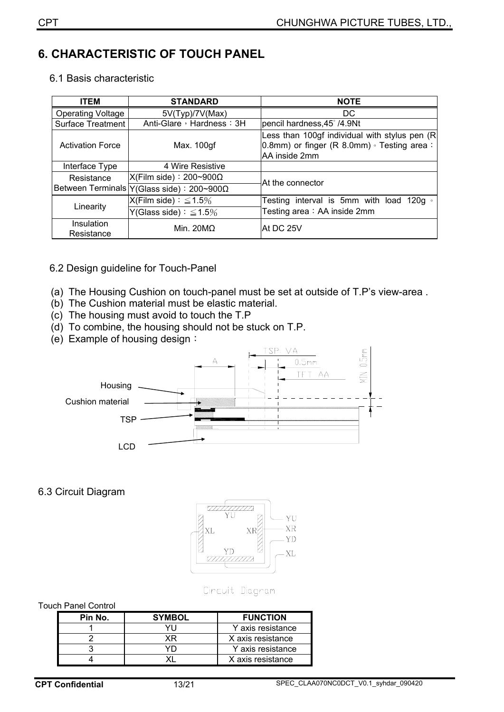## **6. CHARACTERISTIC OF TOUCH PANEL**

|  |  | 6.1 Basis characteristic |
|--|--|--------------------------|
|--|--|--------------------------|

| <b>ITEM</b>              | <b>STANDARD</b>                               | <b>NOTE</b>                                                                                                         |
|--------------------------|-----------------------------------------------|---------------------------------------------------------------------------------------------------------------------|
| <b>Operating Voltage</b> | 5V(Typ)/7V(Max)                               | DC.                                                                                                                 |
| <b>Surface Treatment</b> | Anti-Glare, Hardness: 3H                      | pencil hardness, 45° /4.9Nt                                                                                         |
| <b>Activation Force</b>  | Max. 100gf                                    | Less than 100gf individual with stylus pen (R)<br>0.8mm) or finger (R 8.0mm) $\circ$ Testing area:<br>AA inside 2mm |
| Interface Type           | 4 Wire Resistive                              |                                                                                                                     |
| Resistance               | $X$ (Film side) : 200~900 $\Omega$            | At the connector                                                                                                    |
|                          | Between Terminals   Y (Glass side) : 200~900Ω |                                                                                                                     |
|                          | $X$ (Film side) : $\leq 1.5\%$                | Testing interval is 5mm with load 120g $\circ$                                                                      |
| Linearity                | Y(Glass side) : $\leq 1.5\%$                  | Testing area: AA inside 2mm                                                                                         |
| Insulation<br>Resistance | Min. $20M\Omega$                              | IAt DC 25V                                                                                                          |

#### 6.2 Design guideline for Touch-Panel

- (a) The Housing Cushion on touch-panel must be set at outside of T.P's view-area .
- (b) The Cushion material must be elastic material.
- (c) The housing must avoid to touch the T.P
- (d) To combine, the housing should not be stuck on T.P.
- (e) Example of housing design:



#### 6.3 Circuit Diagram



Cincuit Diagram

#### Touch Panel Control

| Pin No. | <b>SYMBOL</b>           | <b>FUNCTION</b>   |  |
|---------|-------------------------|-------------------|--|
|         | Y axis resistance       |                   |  |
|         | X axis resistance<br>ΧR |                   |  |
|         |                         | Y axis resistance |  |
|         |                         | X axis resistance |  |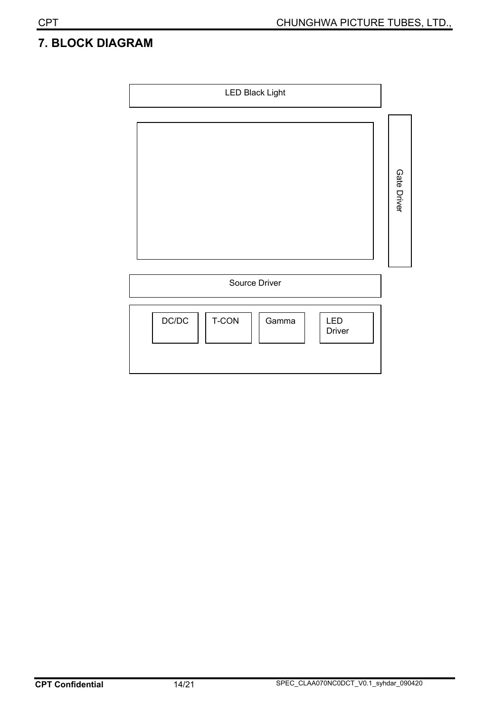## **7. BLOCK DIAGRAM**

| <b>LED Black Light</b>                          |             |
|-------------------------------------------------|-------------|
|                                                 | Gate Driver |
| Source Driver                                   |             |
| DC/DC<br>T-CON<br>Gamma<br>LED<br><b>Driver</b> |             |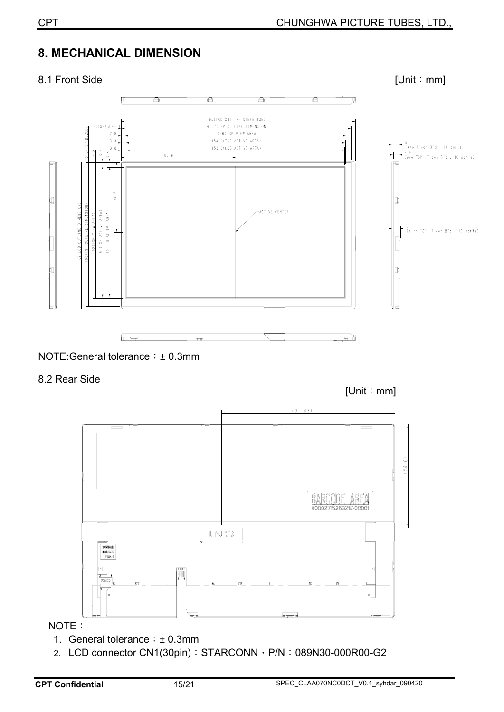## **8. MECHANICAL DIMENSION**

#### 8.1 Front Side [Unit : mm]  $\overline{\blacksquare}$ 165(LCD OUTLINE DIMENSION) 3(TSP/BEZEL 161.7(TSP OUTLINE DIMENSION) 3/TCD/AE7EL 155.6(TSP VIEW AREA)  $2,8$ 154.6(TSP ACTIVE AREA)  $3.3$ 153.6(LCD ACTIVE AREA) <u>o</u><br>(w/o T−con B′d , IC parts)  $3.8$  $80.6$ 3.9<br>(w/o TSP ,T-con B'd , IC parts) 102(LCD OUTLINE DIMENSION) 100(TSP OUTLINE DIMENSION) 91(TSP ACTIVE AREA)<br>90(LCD ACTIVE AREA) -<br>ACTIVE CENTER 92(TSP VIEW AREA) 6<br>(with TSP ,T-con B'd , IC parts) ਜਿ ਜ ⇔ ਜ



8.2 Rear Side

[Unit: mm]



NOTE:

- 1. General tolerance :  $\pm$  0.3mm
- 2. LCD connector CN1(30pin): STARCONN, P/N: 089N30-000R00-G2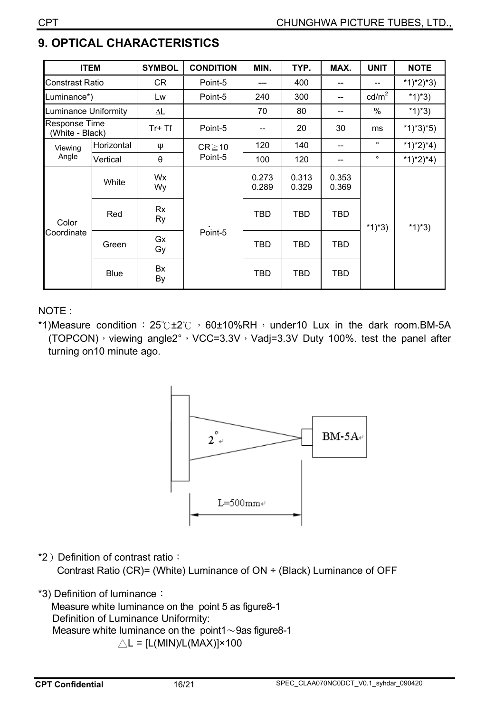| <b>ITEM</b>                      |             | <b>SYMBOL</b> | <b>CONDITION</b> | MIN.           | TYP.           | MAX.           | <b>UNIT</b>     | <b>NOTE</b> |
|----------------------------------|-------------|---------------|------------------|----------------|----------------|----------------|-----------------|-------------|
| Constrast Ratio                  |             | CR            | Point-5          | ---            | 400            | --             |                 | $*1)*2)*3)$ |
| Luminance*)                      |             | Lw            | Point-5          | 240            | 300            | $-$            | $\text{cd/m}^2$ | *1)*3)      |
| Luminance Uniformity             |             | ΔL            |                  | 70             | 80             | --             | $\%$            | *1)*3)      |
| Response Time<br>(White - Black) |             | Tr+ Tf        | Point-5          | $-$            | 20             | 30             | ms              | $*1)*3*5)$  |
| Viewing                          | Horizontal  | Ψ             | $CR \ge 10$      | 120            | 140            | --             | $\circ$         | *1)*2)*4)   |
| Angle                            | Vertical    | $\theta$      | Point-5          | 100            | 120            | $-$            | $\circ$         | *1)*2)*4)   |
| Color<br>Coordinate              | White       | Wx<br>Wy      | Point-5          | 0.273<br>0.289 | 0.313<br>0.329 | 0.353<br>0.369 |                 |             |
|                                  | Red         | Rx<br>Ry      |                  | TBD            | <b>TBD</b>     | <b>TBD</b>     | $*1)*3)$        | *1)*3)      |
|                                  | Green       | Gx<br>Gy      |                  | <b>TBD</b>     | <b>TBD</b>     | <b>TBD</b>     |                 |             |
|                                  | <b>Blue</b> | Bx<br>By      |                  | <b>TBD</b>     | <b>TBD</b>     | <b>TBD</b>     |                 |             |

## **9. OPTICAL CHARACTERISTICS**

NOTE :

\*1)Measure condition:  $25^\circ$ C ±2 $^\circ$ C  $\cdot$  60±10%RH $\cdot$  under10 Lux in the dark room.BM-5A (TOPCON)  $\cdot$  viewing angle2°  $\cdot$  VCC=3.3V  $\cdot$  Vadj=3.3V Duty 100%. test the panel after turning on10 minute ago.



\*2) Definition of contrast ratio:

Contrast Ratio (CR)= (White) Luminance of ON ÷ (Black) Luminance of OFF

\*3) Definition of luminance:

Measure white luminance on the point 5 as figure8-1 Definition of Luminance Uniformity: Measure white luminance on the point1 $\sim$ 9as figure8-1  $\triangle$ L = [L(MIN)/L(MAX)]×100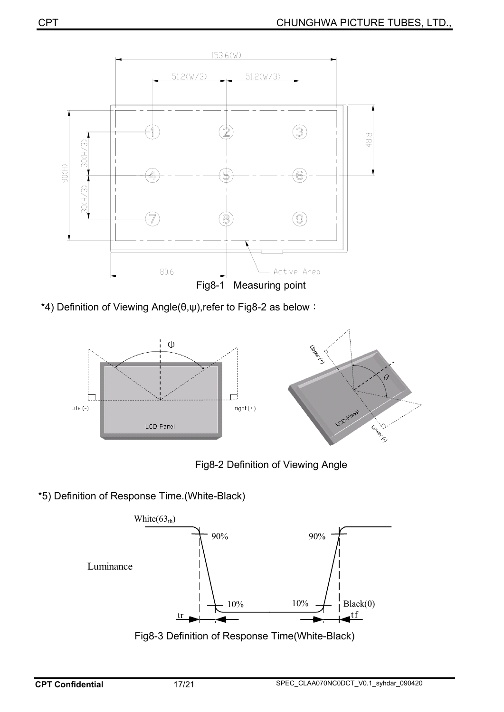

\*4) Definition of Viewing Angle( $\theta, \psi$ ),refer to Fig8-2 as below :





\*5) Definition of Response Time.(White-Black)



Fig8-3 Definition of Response Time(White-Black)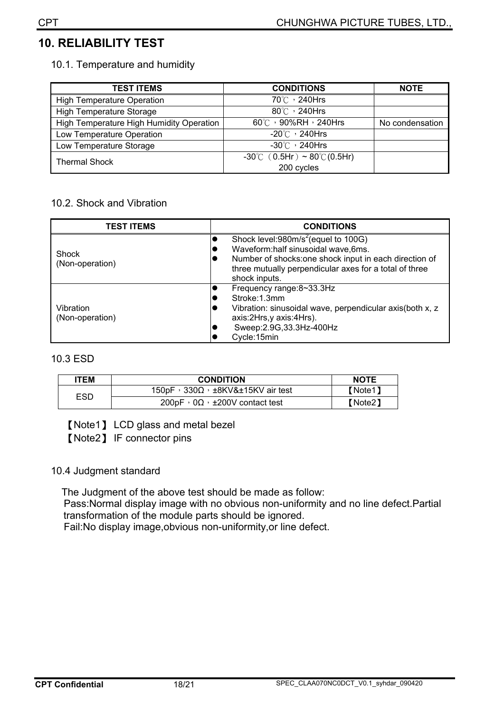## **10. RELIABILITY TEST**

10.1. Temperature and humidity

| <b>TEST ITEMS</b>                        | <b>CONDITIONS</b>                                 | <b>NOTE</b>     |
|------------------------------------------|---------------------------------------------------|-----------------|
| <b>High Temperature Operation</b>        | 70℃, 240Hrs                                       |                 |
| <b>High Temperature Storage</b>          | $80^{\circ}$ / 240Hrs                             |                 |
| High Temperature High Humidity Operation | 60°C , 90%RH , 240Hrs                             | No condensation |
| Low Temperature Operation                | $-20^{\circ}$ / 240Hrs                            |                 |
| Low Temperature Storage                  | $-30^{\circ}$ $\circ$ 240Hrs                      |                 |
| <b>Thermal Shock</b>                     | $-30^{\circ}$ C (0.5Hr) ~ 80 $^{\circ}$ C (0.5Hr) |                 |
|                                          | 200 cycles                                        |                 |

#### 10.2. Shock and Vibration

| <b>TEST ITEMS</b>            | <b>CONDITIONS</b>                                                                                                                                                                                                                                            |
|------------------------------|--------------------------------------------------------------------------------------------------------------------------------------------------------------------------------------------------------------------------------------------------------------|
| Shock<br>(Non-operation)     | Shock level:980m/s <sup>2</sup> (equel to 100G)<br>Waveform:half sinusoidal wave,6ms.<br>$\overline{\phantom{a}}$<br>Number of shocks: one shock input in each direction of<br>IC<br>three mutually perpendicular axes for a total of three<br>shock inputs. |
| Vibration<br>(Non-operation) | Frequency range:8~33.3Hz<br>$\bullet$<br>Stroke: 1.3mm<br>u<br>Vibration: sinusoidal wave, perpendicular axis(both x, z<br>$\overline{\phantom{a}}$<br>axis:2Hrs,y axis:4Hrs).<br>Sweep: 2.9G, 33.3Hz-400Hz<br>lo<br>Cycle:15min                             |

#### 10.3 ESD

| ITEM | <b>CONDITION</b>                                         | <b>NOTE</b> |
|------|----------------------------------------------------------|-------------|
| ESD  | $150pF \cdot 330\Omega \cdot \pm 8KV\&\pm 15KV$ air test | 【Note1】     |
|      | $200pF \cdot 0\Omega \cdot \pm 200V$ contact test        | 【Note2】     |

[Note1] LCD glass and metal bezel

[Note2] IF connector pins

#### 10.4 Judgment standard

The Judgment of the above test should be made as follow:

 Pass:Normal display image with no obvious non-uniformity and no line defect.Partial transformation of the module parts should be ignored.

Fail:No display image,obvious non-uniformity,or line defect.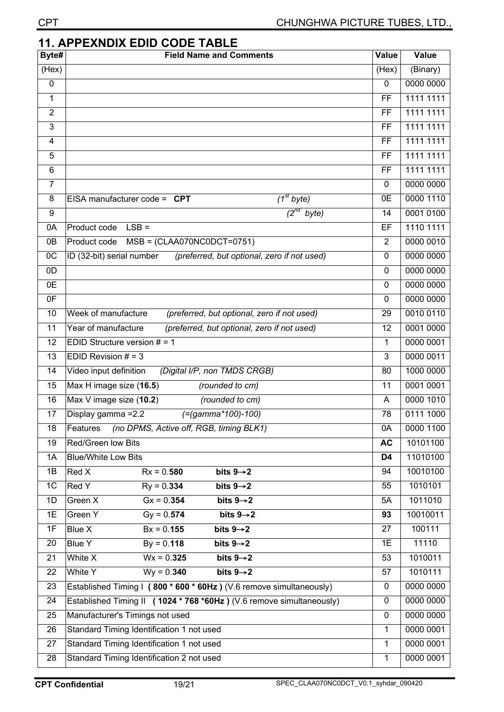| <b>CPT</b>     | CHUNGHWA PICTURE TUBES, LTD.,                                            |                |           |
|----------------|--------------------------------------------------------------------------|----------------|-----------|
|                | <b>11. APPEXNDIX EDID CODE TABLE</b>                                     |                |           |
| Byte#          | <b>Field Name and Comments</b>                                           | Value          | Value     |
| (Hex)          |                                                                          | (Hex)          | (Binary)  |
| 0              |                                                                          | $\mathbf 0$    | 0000 0000 |
| 1              |                                                                          | FF             | 1111 1111 |
| $\overline{2}$ |                                                                          | <b>FF</b>      | 1111 1111 |
| 3              |                                                                          | <b>FF</b>      | 1111 1111 |
| 4              |                                                                          | FF             | 1111 1111 |
| 5              |                                                                          | FF             | 1111 1111 |
| 6              |                                                                          | FF             | 1111 1111 |
| $\overline{7}$ |                                                                          | 0              | 0000 0000 |
| 8              | $\overline{I^{st}}$ byte)<br>EISA manufacturer code = $CPT$              | 0E             | 0000 1110 |
| 9              | $\overline{2^{nd}}$<br>byte)                                             | 14             | 0001 0100 |
| 0A             | $LSB =$<br>Product code                                                  | EF             | 1110 1111 |
| 0B             | $MSB = (CLAAO70NCODET=0751)$<br>Product code                             | $\overline{2}$ | 0000 0010 |
| $_{0C}$        | (preferred, but optional, zero if not used)<br>ID (32-bit) serial number | $\mathbf{0}$   | 0000 0000 |
| 0D             |                                                                          | 0              | 0000 0000 |
| 0E             |                                                                          | $\mathbf 0$    | 0000 0000 |
| 0F             |                                                                          | $\Omega$       | 0000 0000 |
| 10             | Week of manufacture<br>(preferred, but optional, zero if not used)       | 29             | 0010 0110 |
| 11             | Year of manufacture<br>(preferred, but optional, zero if not used)       | 12             | 0001 0000 |
| 12             | EDID Structure version $# = 1$                                           | 1              | 0000 0001 |
| 13             | EDID Revision $# = 3$                                                    | 3              | 0000 0011 |
| 14             | (Digital I/P, non TMDS CRGB)<br>Video input definition                   | 80             | 1000 0000 |
| 15             | Max H image size (16.5)<br>(rounded to cm)                               | 11             | 0001 0001 |
| 16             | Max V image size (10.2)<br>(rounded to cm)                               | A              | 0000 1010 |
| 17             | $( = (gamma * 100) - 100)$<br>Display gamma = 2.2                        | 78             | 0111 1000 |
| 18             | (no DPMS, Active off, RGB, timing BLK1)<br>Features                      | 0A             | 0000 1100 |
| 19             | Red/Green low Bits                                                       | <b>AC</b>      | 10101100  |
| 1A             | <b>Blue/White Low Bits</b>                                               | D4             | 11010100  |
| 1B             | Red X<br>bits $9 \rightarrow 2$<br>$Rx = 0.580$                          | 94             | 10010100  |
| 1 <sup>C</sup> | Red Y<br>$Ry = 0.334$<br>bits $9 \rightarrow 2$                          | 55             | 1010101   |
| 1D             | Green X<br>$Gx = 0.354$<br>bits $9 \rightarrow 2$                        | 5A             | 1011010   |
| 1E             | Green Y<br>$Gy = 0.574$<br>bits $9 \rightarrow 2$                        | 93             | 10010011  |
| 1F             | <b>Blue X</b><br>$Bx = 0.155$<br>bits $9 \rightarrow 2$                  | 27             | 100111    |
| 20             | <b>Blue Y</b><br>$By = 0.118$<br>bits $9 \rightarrow 2$                  | 1E             | 11110     |
| 21             | bits $9\rightarrow 2$<br>White X<br>$Wx = 0.325$                         | 53             | 1010011   |
| 22             | $Wy = 0.340$<br>White Y<br>bits $9 \rightarrow 2$                        | 57             | 1010111   |
| 23             | Established Timing I (800 * 600 * 60Hz) (V.6 remove simultaneously)      | $\mathbf 0$    | 0000 0000 |
| 24             | Established Timing II (1024 * 768 *60Hz) (V.6 remove simultaneously)     | 0              | 0000 0000 |
| 25             | Manufacturer's Timings not used                                          | 0              | 0000 0000 |
| 26             | Standard Timing Identification 1 not used                                | 1              | 0000 0001 |
| 27             | Standard Timing Identification 1 not used                                | 1              | 0000 0001 |
| 28             | Standard Timing Identification 2 not used                                | $\mathbf{1}$   | 0000 0001 |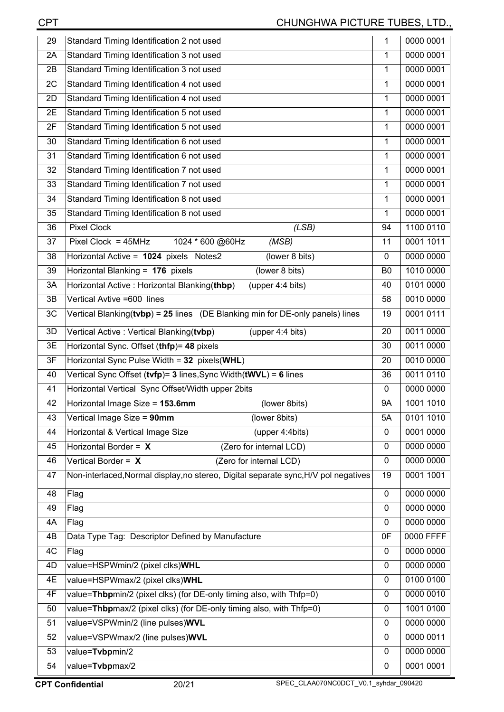| 29 | Standard Timing Identification 2 not used                                           | 1              | 0000 0001 |
|----|-------------------------------------------------------------------------------------|----------------|-----------|
| 2A | Standard Timing Identification 3 not used                                           | 1              | 0000 0001 |
| 2B | Standard Timing Identification 3 not used                                           | 1              | 0000 0001 |
| 2C | Standard Timing Identification 4 not used                                           | 1              | 0000 0001 |
| 2D | Standard Timing Identification 4 not used                                           | 1              | 0000 0001 |
| 2E | Standard Timing Identification 5 not used                                           | 1              | 0000 0001 |
| 2F | Standard Timing Identification 5 not used                                           | 1              | 0000 0001 |
| 30 | Standard Timing Identification 6 not used                                           | 1              | 0000 0001 |
| 31 | Standard Timing Identification 6 not used                                           | 1              | 0000 0001 |
| 32 | Standard Timing Identification 7 not used                                           | 1              | 0000 0001 |
| 33 | Standard Timing Identification 7 not used                                           | 1              | 0000 0001 |
| 34 | Standard Timing Identification 8 not used                                           | 1              | 0000 0001 |
| 35 | Standard Timing Identification 8 not used                                           | 1              | 0000 0001 |
| 36 | <b>Pixel Clock</b><br>(LSB)                                                         | 94             | 1100 0110 |
| 37 | Pixel Clock = $45MHz$<br>1024 * 600 @60Hz<br>(MSB)                                  | 11             | 0001 1011 |
| 38 | Horizontal Active = 1024 pixels Notes2<br>(lower 8 bits)                            | $\mathbf 0$    | 0000 0000 |
| 39 | Horizontal Blanking = 176 pixels<br>(lower 8 bits)                                  | B <sub>0</sub> | 1010 0000 |
| 3A | Horizontal Active: Horizontal Blanking(thbp)<br>(upper 4:4 bits)                    | 40             | 0101 0000 |
| 3B | Vertical Avtive =600 lines                                                          | 58             | 0010 0000 |
| 3C | Vertical Blanking( $t vbp$ ) = 25 lines (DE Blanking min for DE-only panels) lines  | 19             | 0001 0111 |
| 3D | Vertical Active: Vertical Blanking(tvbp)<br>(upper 4:4 bits)                        | 20             | 0011 0000 |
| 3E | Horizontal Sync. Offset (thfp)= 48 pixels                                           | 30             | 0011 0000 |
| 3F | Horizontal Sync Pulse Width = 32 pixels(WHL)                                        | 20             | 0010 0000 |
| 40 | Vertical Sync Offset (tvfp)= 3 lines, Sync Width(tWVL) = 6 lines                    | 36             | 0011 0110 |
| 41 | Horizontal Vertical Sync Offset/Width upper 2bits                                   | $\mathbf 0$    | 0000 0000 |
| 42 | Horizontal Image Size = 153.6mm<br>(lower 8bits)                                    | <b>9A</b>      | 1001 1010 |
| 43 | Vertical Image Size = 90mm<br>(lower 8bits)                                         | 5A             | 0101 1010 |
| 44 | Horizontal & Vertical Image Size<br>(upper 4:4bits)                                 | $\mathbf 0$    | 0001 0000 |
| 45 | Horizontal Border = X<br>(Zero for internal LCD)                                    | 0              | 0000 0000 |
| 46 | Vertical Border = $X$<br>(Zero for internal LCD)                                    | $\mathbf 0$    | 0000 0000 |
| 47 | Non-interlaced, Normal display, no stereo, Digital separate sync, H/V pol negatives | 19             | 0001 1001 |
| 48 | Flag                                                                                | $\mathbf 0$    | 0000 0000 |
| 49 | Flag                                                                                | 0              | 0000 0000 |
| 4A | Flag                                                                                | $\Omega$       | 0000 0000 |
| 4B | Data Type Tag: Descriptor Defined by Manufacture                                    | 0F             | 0000 FFFF |
| 4C | Flag                                                                                | $\mathbf 0$    | 0000 0000 |
| 4D | value=HSPWmin/2 (pixel clks)WHL                                                     | $\mathbf 0$    | 0000 0000 |
| 4E | value=HSPWmax/2 (pixel clks)WHL                                                     | 0              | 0100 0100 |
| 4F | value=Thbpmin/2 (pixel clks) (for DE-only timing also, with Thfp=0)                 | 0              | 0000 0010 |
| 50 | value=Thbpmax/2 (pixel clks) (for DE-only timing also, with Thfp=0)                 | 0              | 1001 0100 |
| 51 | value=VSPWmin/2 (line pulses)WVL                                                    | $\mathbf 0$    | 0000 0000 |
| 52 | value=VSPWmax/2 (line pulses)WVL                                                    | $\mathbf 0$    | 0000 0011 |
| 53 | value=Tvbpmin/2                                                                     | $\mathbf 0$    | 0000 0000 |
| 54 | value=Tvbpmax/2                                                                     | 0              | 0001 0001 |